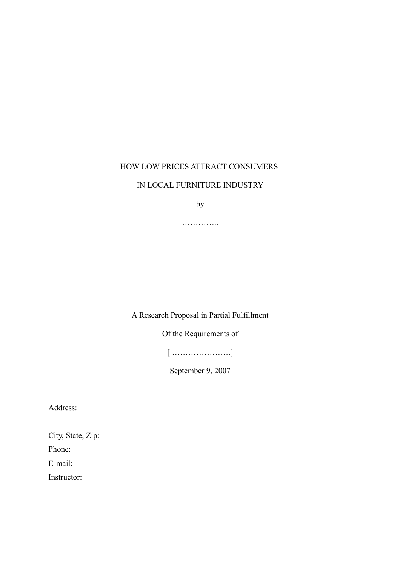### HOW LOW PRICES ATTRACT CONSUMERS

### IN LOCAL FURNITURE INDUSTRY

by

…………..

## A Research Proposal in Partial Fulfillment

Of the Requirements of

[ ………………….]

September 9, 2007

Address:

City, State, Zip:

Phone:

E-mail:

Instructor: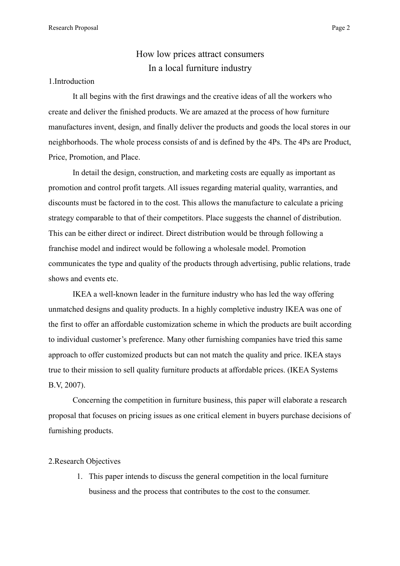# How low prices attract consumers In a local furniture industry

#### 1.Introduction

It all begins with the first drawings and the creative ideas of all the workers who create and deliver the finished products. We are amazed at the process of how furniture manufactures invent, design, and finally deliver the products and goods the local stores in our neighborhoods. The whole process consists of and is defined by the 4Ps. The 4Ps are Product, Price, Promotion, and Place.

In detail the design, construction, and marketing costs are equally as important as promotion and control profit targets. All issues regarding material quality, warranties, and discounts must be factored in to the cost. This allows the manufacture to calculate a pricing strategy comparable to that of their competitors. Place suggests the channel of distribution. This can be either direct or indirect. Direct distribution would be through following a franchise model and indirect would be following a wholesale model. Promotion communicates the type and quality of the products through advertising, public relations, trade shows and events etc.

IKEA a well-known leader in the furniture industry who has led the way offering unmatched designs and quality products. In a highly completive industry IKEA was one of the first to offer an affordable customization scheme in which the products are built according to individual customer's preference. Many other furnishing companies have tried this same approach to offer customized products but can not match the quality and price. IKEA stays true to their mission to sell quality furniture products at affordable prices. (IKEA Systems B.V, 2007).

Concerning the competition in furniture business, this paper will elaborate a research proposal that focuses on pricing issues as one critical element in buyers purchase decisions of furnishing products.

#### 2.Research Objectives

1. This paper intends to discuss the general competition in the local furniture business and the process that contributes to the cost to the consumer.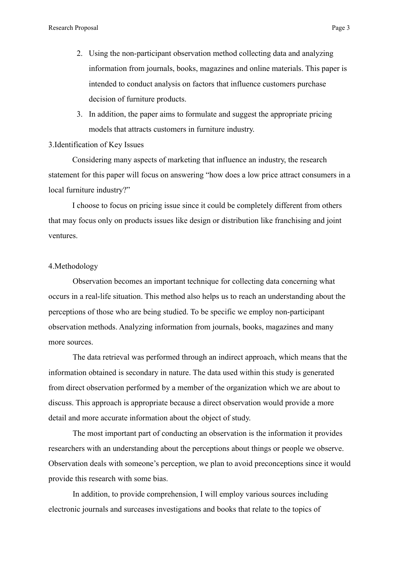- 2. Using the non-participant observation method collecting data and analyzing information from journals, books, magazines and online materials. This paper is intended to conduct analysis on factors that influence customers purchase decision of furniture products.
- 3. In addition, the paper aims to formulate and suggest the appropriate pricing models that attracts customers in furniture industry.

### 3.Identification of Key Issues

Considering many aspects of marketing that influence an industry, the research statement for this paper will focus on answering "how does a low price attract consumers in a local furniture industry?"

I choose to focus on pricing issue since it could be completely different from others that may focus only on products issues like design or distribution like franchising and joint ventures.

#### 4.Methodology

Observation becomes an important technique for collecting data concerning what occurs in a real-life situation. This method also helps us to reach an understanding about the perceptions of those who are being studied. To be specific we employ non-participant observation methods. Analyzing information from journals, books, magazines and many more sources.

The data retrieval was performed through an indirect approach, which means that the information obtained is secondary in nature. The data used within this study is generated from direct observation performed by a member of the organization which we are about to discuss. This approach is appropriate because a direct observation would provide a more detail and more accurate information about the object of study.

The most important part of conducting an observation is the information it provides researchers with an understanding about the perceptions about things or people we observe. Observation deals with someone's perception, we plan to avoid preconceptions since it would provide this research with some bias.

In addition, to provide comprehension, I will employ various sources including electronic journals and surceases investigations and books that relate to the topics of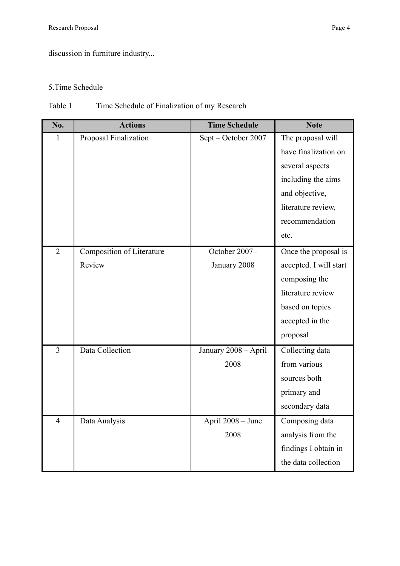discussion in furniture industry...

## 5.Time Schedule

## Table 1 Time Schedule of Finalization of my Research

| No.            | <b>Actions</b>            | <b>Time Schedule</b> | <b>Note</b>            |
|----------------|---------------------------|----------------------|------------------------|
| $\mathbf{1}$   | Proposal Finalization     | Sept - October 2007  | The proposal will      |
|                |                           |                      | have finalization on   |
|                |                           |                      | several aspects        |
|                |                           |                      | including the aims     |
|                |                           |                      | and objective,         |
|                |                           |                      | literature review,     |
|                |                           |                      | recommendation         |
|                |                           |                      | etc.                   |
| $\overline{2}$ | Composition of Literature | October 2007-        | Once the proposal is   |
|                | Review                    | January 2008         | accepted. I will start |
|                |                           |                      | composing the          |
|                |                           |                      | literature review      |
|                |                           |                      | based on topics        |
|                |                           |                      | accepted in the        |
|                |                           |                      | proposal               |
| $\overline{3}$ | Data Collection           | January 2008 - April | Collecting data        |
|                |                           | 2008                 | from various           |
|                |                           |                      | sources both           |
|                |                           |                      | primary and            |
|                |                           |                      | secondary data         |
| 4              | Data Analysis             | April 2008 - June    | Composing data         |
|                |                           | 2008                 | analysis from the      |
|                |                           |                      | findings I obtain in   |
|                |                           |                      | the data collection    |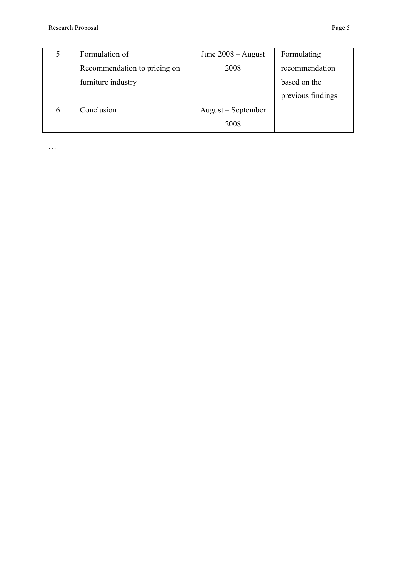|   | Formulation of               | June $2008 -$ August | Formulating       |
|---|------------------------------|----------------------|-------------------|
|   | Recommendation to pricing on | 2008                 | recommendation    |
|   | furniture industry           |                      | based on the      |
|   |                              |                      | previous findings |
| 6 | Conclusion                   | August – September   |                   |
|   |                              | 2008                 |                   |

…